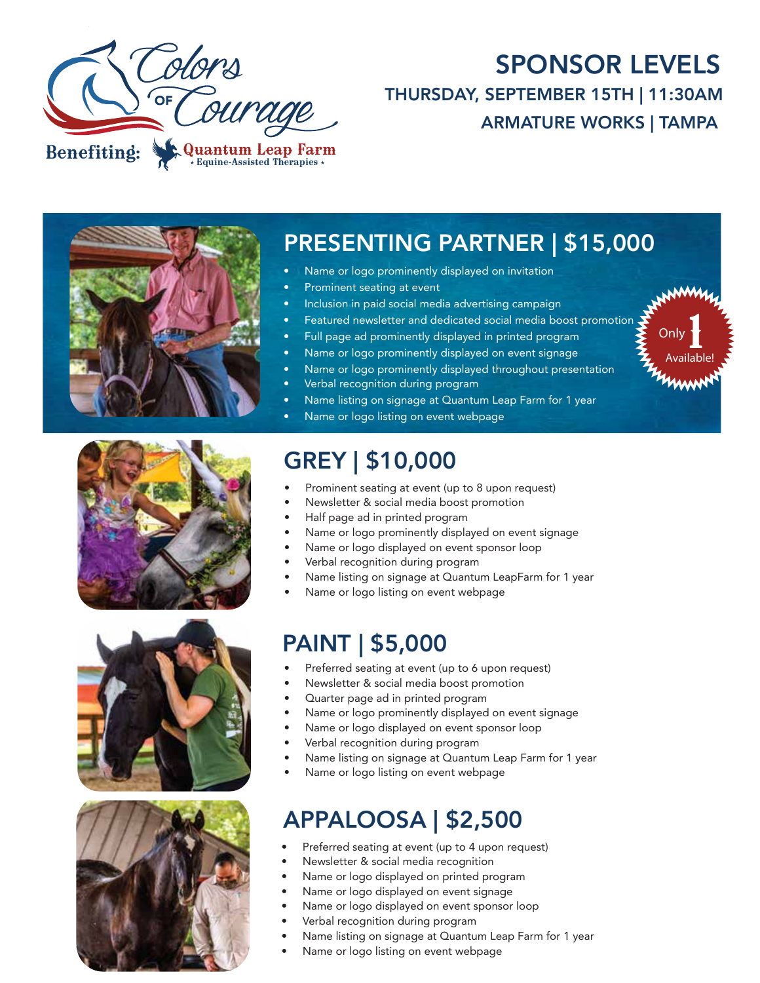

## SPONSOR LEVELS THURSDAY, SEPTEMBER 15TH | 11:30AM ARMATURE WORKS | TAMPA

Available!

mun

Only  $\prod_{n=1}^{\infty}$ 



### PRESENTING PARTNER | \$15,000

- Name or logo prominently displayed on invitation
- Prominent seating at event
- Inclusion in paid social media advertising campaign
- Featured newsletter and dedicated social media boost promotion
- Full page ad prominently displayed in printed program
- Name or logo prominently displayed on event signage
- Name or logo prominently displayed throughout presentation
	- Verbal recognition during program
	- Name listing on signage at Quantum Leap Farm for 1 year
- Name or logo listing on event webpage

# GREY | \$10,000

- Prominent seating at event (up to 8 upon request)
- Newsletter & social media boost promotion
- Half page ad in printed program
- Name or logo prominently displayed on event signage
- Name or logo displayed on event sponsor loop
- Verbal recognition during program
- Name listing on signage at Quantum LeapFarm for 1 year
- Name or logo listing on event webpage

## PAINT | \$5,000

- Preferred seating at event (up to 6 upon request)
- Newsletter & social media boost promotion
- Quarter page ad in printed program
- Name or logo prominently displayed on event signage
- Name or logo displayed on event sponsor loop
- Verbal recognition during program
- Name listing on signage at Quantum Leap Farm for 1 year
- Name or logo listing on event webpage

# APPALOOSA | \$2,500

- Preferred seating at event (up to 4 upon request)
- Newsletter & social media recognition
- Name or logo displayed on printed program
- Name or logo displayed on event signage
- Name or logo displayed on event sponsor loop
- Verbal recognition during program
- Name listing on signage at Quantum Leap Farm for 1 year
- Name or logo listing on event webpage